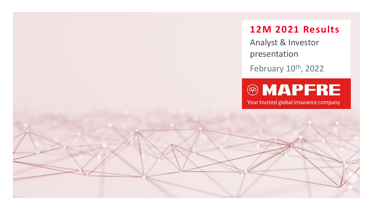## **12M 2021 Results**

Analyst & Investor presentation

February 10<sup>th</sup>, 2022

# **®MAPFRE**

Your trusted global insurance company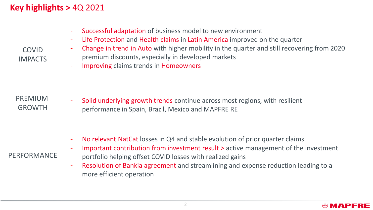### **Key highlights >** 4Q 2021

| Successful adaptation of business model to new environment                                                                                       |
|--------------------------------------------------------------------------------------------------------------------------------------------------|
| Life Protection and Health claims in Latin America improved on the quarter                                                                       |
| Change in trend in Auto with higher mobility in the quarter and still recovering from 2020<br>premium discounts, especially in developed markets |
| Improving claims trends in Homeowners                                                                                                            |
|                                                                                                                                                  |

PREMIUM GROWTH - Solid underlying growth trends continue across most regions, with resilient performance in Spain, Brazil, Mexico and MAPFRE RE

### No relevant NatCat losses in Q4 and stable evolution of prior quarter claims

#### PERFORMANCE

COVID IMPACTS

- Important contribution from investment result > active management of the investment portfolio helping offset COVID losses with realized gains
- Resolution of Bankia agreement and streamlining and expense reduction leading to a more efficient operation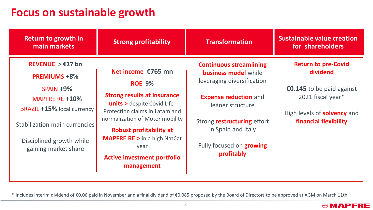## **Focus on sustainable growth**

| Return to growth in<br>main markets                                                                                                                                                                           | <b>Strong profitability</b>                                                                                                                                                                                                                                                                                                     | <b>Transformation</b>                                                                                                                                                                                                                                        | <b>Sustainable value creation</b><br>for shareholders                                                                                                   |
|---------------------------------------------------------------------------------------------------------------------------------------------------------------------------------------------------------------|---------------------------------------------------------------------------------------------------------------------------------------------------------------------------------------------------------------------------------------------------------------------------------------------------------------------------------|--------------------------------------------------------------------------------------------------------------------------------------------------------------------------------------------------------------------------------------------------------------|---------------------------------------------------------------------------------------------------------------------------------------------------------|
| REVENUE $> \epsilon$ 27 bn<br><b>PREMIUMS +8%</b><br>$SPAIN + 9%$<br>MAPFRE RE +10%<br><b>BRAZIL +15% local currency</b><br>Stabilization main currencies<br>Disciplined growth while<br>gaining market share | Net income €765 mn<br><b>ROE 9%</b><br><b>Strong results at insurance</b><br><b>units &gt; despite Covid Life-</b><br>Protection claims in Latam and<br>normalization of Motor mobility<br><b>Robust profitability at</b><br><b>MAPFRE RE &gt; in a high NatCat</b><br>year<br><b>Active investment portfolio</b><br>management | <b>Continuous streamlining</b><br><b>business model</b> while<br>leveraging diversification<br><b>Expense reduction and</b><br>leaner structure<br>Strong <b>restructuring</b> effort<br>in Spain and Italy<br>Fully focused on <b>growing</b><br>profitably | <b>Return to pre-Covid</b><br>dividend<br>€0.145 to be paid against<br>2021 fiscal year*<br>High levels of <b>solvency</b> and<br>financial flexibility |

\* Includes interim dividend of €0.06 paid in November and a final dividend of €0.085 proposed by the Board of Directors to be approved at AGM on March 11th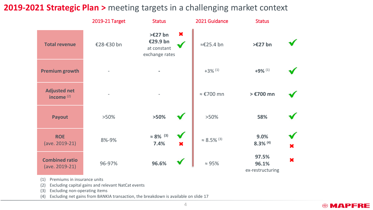### **2019-2021 Strategic Plan >** meeting targets in a challenging market context

|                                              | 2019-21 Target           | <b>Status</b>                                                       | 2021 Guidance         | <b>Status</b>                      |   |
|----------------------------------------------|--------------------------|---------------------------------------------------------------------|-----------------------|------------------------------------|---|
| <b>Total revenue</b>                         | €28-€30 bn               | ×<br>$>\epsilon$ 27 bn<br>€29.9 bn<br>at constant<br>exchange rates | ≈€25.4 bn             | $\geq$ £27 bn                      |   |
| <b>Premium growth</b>                        |                          |                                                                     | $+3\%$ <sup>(1)</sup> | $+9\%$ <sup>(1)</sup>              |   |
| <b>Adjusted net</b><br>income <sup>(2)</sup> | $\overline{\phantom{a}}$ |                                                                     | ≈ €700 mn             | > €700 mn                          |   |
| Payout                                       | $>50\%$                  | $>50\%$                                                             | $>50\%$               | 58%                                |   |
| <b>ROE</b><br>(ave. 2019-21)                 | 8%-9%                    | $\approx 8\%$ (3)<br>7.4%<br>×                                      | $\approx 8.5\%$ (3)   | 9.0%<br>$8.3\%$ (4)                | × |
| <b>Combined ratio</b><br>(ave. 2019-21)      | 96-97%                   | 96.6%                                                               | $\approx 95\%$        | 97.5%<br>96.1%<br>ex-restructuring | × |

(1) Premiums in insurance units

(2) Excluding capital gains and relevant NatCat events

(3) Excluding non-operating items

(4) Excluding net gains from BANKIA transaction, the breakdown is available on slide 17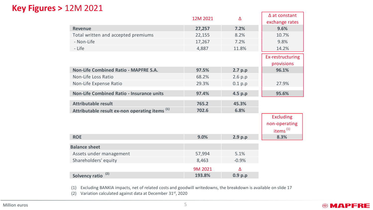### **Key Figures >** 12M 2021

|                                                           | 12M 2021 | Δ       | $\Delta$ at constant<br>exchange rates                    |
|-----------------------------------------------------------|----------|---------|-----------------------------------------------------------|
| <b>Revenue</b>                                            | 27,257   | 7.2%    | 9.6%                                                      |
| Total written and accepted premiums                       | 22,155   | 8.2%    | 10.7%                                                     |
| - Non-Life                                                | 17,267   | 7.2%    | 9.8%                                                      |
| - Life                                                    | 4,887    | 11.8%   | 14.2%                                                     |
|                                                           |          |         | Ex-restructuring<br>provisions                            |
| <b>Non-Life Combined Ratio - MAPFRE S.A.</b>              | 97.5%    | 2.7 p.p | 96.1%                                                     |
| Non-Life Loss Ratio                                       | 68.2%    | 2.6 p.p |                                                           |
| Non-Life Expense Ratio                                    | 29.3%    | 0.1 p.p | 27.9%                                                     |
| Non-Life Combined Ratio - Insurance units                 | 97.4%    | 4.5 p.p | 95.6%                                                     |
| <b>Attributable result</b>                                | 765.2    | 45.3%   |                                                           |
| Attributable result ex-non operating items <sup>(1)</sup> | 702.6    | 6.8%    |                                                           |
|                                                           |          |         | <b>Excluding</b><br>non-operating<br>items <sup>(1)</sup> |
| <b>ROE</b>                                                | 9.0%     | 2.9 p.p | 8.3%                                                      |
| <b>Balance sheet</b>                                      |          |         |                                                           |
| Assets under management                                   | 57,994   | 5.1%    |                                                           |
| Shareholders' equity                                      | 8,463    | $-0.9%$ |                                                           |
|                                                           | 9M 2021  | Δ       |                                                           |
| (2)<br><b>Solvency ratio</b>                              | 193.8%   | 0.9 p.p |                                                           |

(1) Excluding BANKIA impacts, net of related costs and goodwill writedowns, the breakdown is available on slide 17

(2) Variation calculated against data at December 31st, 2020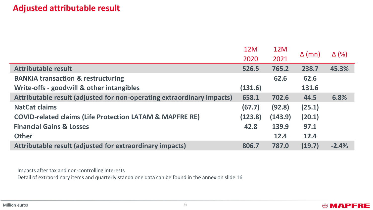### **Adjusted attributable result**

|                                                                                                   | 12M     | 12M     |               |              |
|---------------------------------------------------------------------------------------------------|---------|---------|---------------|--------------|
|                                                                                                   | 2020    | 2021    | $\Delta$ (mn) | $\Delta$ (%) |
| <b>Attributable result</b>                                                                        | 526.5   | 765.2   | 238.7         | 45.3%        |
| <b>BANKIA transaction &amp; restructuring</b>                                                     |         | 62.6    | 62.6          |              |
| Write-offs - goodwill & other intangibles                                                         | (131.6) |         | 131.6         |              |
| Attributable result (adjusted for non-operating extraordinary impacts)                            | 658.1   | 702.6   | 44.5          | 6.8%         |
| <b>NatCat claims</b>                                                                              | (67.7)  | (92.8)  | (25.1)        |              |
| <b>COVID-related claims (Life Protection LATAM &amp; MAPFRE RE)</b>                               | (123.8) | (143.9) | (20.1)        |              |
| <b>Financial Gains &amp; Losses</b>                                                               | 42.8    | 139.9   | 97.1          |              |
| <b>Other</b>                                                                                      |         | 12.4    | 12.4          |              |
| Attributable result (adjusted for extraordinary impacts)                                          | 806.7   | 787.0   | (19.7)        | $-2.4%$      |
|                                                                                                   |         |         |               |              |
|                                                                                                   |         |         |               |              |
| Impacts after tax and non-controlling interests                                                   |         |         |               |              |
| Detail of extraordinary items and quarterly standalone data can be found in the annex on slide 16 |         |         |               |              |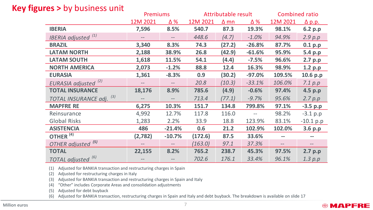### **Key figures >** by business unit

|                                       | <b>Premiums</b> |                   | Attributable result |             |          | <b>Combined ratio</b> |               |
|---------------------------------------|-----------------|-------------------|---------------------|-------------|----------|-----------------------|---------------|
|                                       | 12M 2021        | Δ%                | 12M 2021            | $\Delta$ mn | Δ%       | 12M 2021              | <u>Δ p.p.</u> |
| <b>IBERIA</b>                         | 7,596           | 8.5%              | 540.7               | 87.3        | 19.3%    | 98.1%                 | 6.2 p.p       |
| <b>IBERIA</b> adjusted <sup>(1)</sup> |                 |                   | 448.6               | (4.7)       | $-1.0%$  | 94.9%                 | 2.9 p.p       |
| <b>BRAZIL</b>                         | 3,340           | 8.3%              | 74.3                | (27.2)      | $-26.8%$ | 87.7%                 | 0.1 p.p       |
| <b>LATAM NORTH</b>                    | 2,188           | 38.9%             | 26.8                | (42.9)      | $-61.6%$ | 95.9%                 | 5.4 p.p       |
| <b>LATAM SOUTH</b>                    | 1,618           | 11.5%             | 54.1                | (4.4)       | $-7.5%$  | 96.6%                 | 2.7 p.p       |
| <b>NORTH AMERICA</b>                  | 2,073           | $-1.2%$           | 88.8                | 12.4        | 16.3%    | 98.9%                 | 1.2 p.p       |
| <b>EURASIA</b>                        | 1,361           | $-8.3%$           | 0.9                 | (30.2)      | $-97.0%$ | 109.5%                | 10.6 p.p      |
| EURASIA adjusted <sup>(2)</sup>       |                 |                   | 20.8                | (10.3)      | $-33.1%$ | 106.0%                | 7.1 p.p       |
| <b>TOTAL INSURANCE</b>                | 18,176          | 8.9%              | 785.6               | (4.9)       | $-0.6%$  | 97.4%                 | 4.5 p.p       |
| (3)<br>TOTAL INSURANCE adj.           |                 | $\qquad \qquad -$ | 713.4               | (77.1)      | $-9.7%$  | 95.6%                 | 2.7 p.p       |
| <b>MAPFRE RE</b>                      | 6,275           | 10.3%             | 151.7               | 134.8       | 799.8%   | 97.1%                 | $-3.5 p.p$    |
| Reinsurance                           | 4,992           | 12.7%             | 117.8               | 116.0       |          | 98.2%                 | $-3.1 p.p$    |
| <b>Global Risks</b>                   | 1,283           | 2.2%              | 33.9                | 18.8        | 123.9%   | 83.1%                 | $-10.1 p.p$   |
| <b>ASISTENCIA</b>                     | 486             | $-21.4%$          | 0.6                 | 21.2        | 102.9%   | 102.0%                | 3.6 p.p       |
| OTHER <sup>(4)</sup>                  | (2,782)         | $-10.7%$          | (172.6)             | 87.5        | 33.6%    |                       | --            |
| OTHER adjusted <sup>(5)</sup>         |                 |                   | (163.0)             | 97.1        | 37.3%    | $\qquad \qquad -$     | $-$           |
| <b>TOTAL</b>                          | 22,155          | 8.2%              | 765.2               | 238.7       | 45.3%    | 97.5%                 | 2.7 p.p       |
| TOTAL adjusted <sup>(6)</sup>         |                 |                   | 702.6               | 176.1       | 33.4%    | 96.1%                 | 1.3 p.p       |

(1) Adjusted for BANKIA transaction and restructuring charges in Spain

(2) Adjusted for restructuring charges in Italy

(3) Adjusted for BANKIA transaction and restructuring charges in Spain and Italy

(4) "Other" includes Corporate Areas and consolidation adjustments

(5) Adjusted for debt buyback

(6) Adjusted for BANKIA transaction, restructuring charges in Spain and Italy and debt buyback. The breakdown is available on slide 17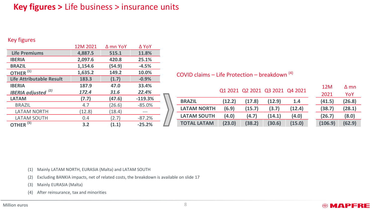### **Key figures >** Life business > insurance units

#### Key figures

|                               | 12M 2021 | ∆ mn YoY | ∆ YoY     |  |
|-------------------------------|----------|----------|-----------|--|
| <b>Life Premiums</b>          | 4,887.5  | 515.1    | 11.8%     |  |
| <b>IBERIA</b>                 | 2,097.6  | 420.8    | 25.1%     |  |
| <b>BRAZIL</b>                 | 1,154.6  | (54.9)   | $-4.5%$   |  |
| OTHER $\overline{^{(1)}}$     | 1,635.2  | 149.2    | 10.0%     |  |
| Life Attributable Result      | 183.3    | (1.7)    | $-0.9%$   |  |
| <b>IBERIA</b>                 | 187.9    | 47.0     | 33.4%     |  |
| (2)<br><b>IBERIA</b> adjusted | 172.4    | 31.6     | 22.4%     |  |
| <b>LATAM</b>                  | (7.7)    | (47.6)   | $-119.3%$ |  |
| <b>BRAZIL</b>                 | 4.7      | (26.6)   | $-85.0%$  |  |
| <b>LATAM NORTH</b>            | (12.8)   | (18.4)   |           |  |
| LATAM SOUTH                   | 0.4      | (2.7)    | $-87.2%$  |  |
| OTHER <sup>(3)</sup>          | 3.2      | (1.1)    | $-25.2%$  |  |

COVID claims – Life Protection – breakdown  $(4)$ 

|                    |        | Q1 2021 Q2 2021 Q3 2021 Q4 2021 |        |        | 12M     | ∆ mn   |
|--------------------|--------|---------------------------------|--------|--------|---------|--------|
|                    |        |                                 |        |        | 2021    | YoY    |
| <b>BRAZIL</b>      | (12.2) | (17.8)                          | (12.9) | 1.4    | (41.5)  | (26.8) |
| <b>LATAM NORTH</b> | (6.9)  | (15.7)                          | (3.7)  | (12.4) | (38.7)  | (28.1) |
| <b>LATAM SOUTH</b> | (4.0)  | (4.7)                           | (14.1) | (4.0)  | (26.7)  | (8.0)  |
| <b>TOTAL LATAM</b> | (23.0) | (38.2)                          | (30.6) | (15.0) | (106.9) | (62.9) |

| 12M     | ∆ mn   |
|---------|--------|
| 2021    | YoY    |
| (41.5)  | (26.8) |
| (38.7)  | (28.1) |
| (26.7)  | (8.0)  |
| (106.9) | (62.9) |

**@MAPFRE** 

(1) Mainly LATAM NORTH, EURASIA (Malta) and LATAM SOUTH

(2) Excluding BANKIA impacts, net of related costs, the breakdown is available on slide 17

(3) Mainly EURASIA (Malta)

(4) After reinsurance, tax and minorities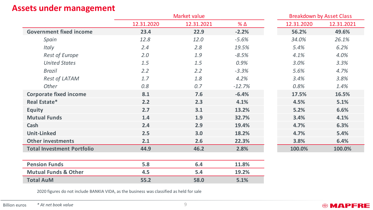### **Assets under management**

|                                   | Market value |            |            |            | <b>Breakdown by Asset Class</b> |
|-----------------------------------|--------------|------------|------------|------------|---------------------------------|
|                                   | 12.31.2020   | 12.31.2021 | $% \Delta$ | 12.31.2020 | 12.31.2021                      |
| <b>Government fixed income</b>    | 23.4         | 22.9       | $-2.2%$    | 56.2%      | 49.6%                           |
| Spain                             | 12.8         | 12.0       | $-5.6%$    | 34.0%      | 26.1%                           |
| Italy                             | 2.4          | 2.8        | 19.5%      | 5.4%       | 6.2%                            |
| <b>Rest of Europe</b>             | 2.0          | 1.9        | $-8.5%$    | 4.1%       | 4.0%                            |
| <b>United States</b>              | 1.5          | 1.5        | 0.9%       | 3.0%       | 3.3%                            |
| Brazil                            | 2.2          | 2.2        | $-3.3%$    | 5.6%       | 4.7%                            |
| Rest of LATAM                     | 1.7          | 1.8        | 4.2%       | 3.4%       | 3.8%                            |
| Other                             | 0.8          | 0.7        | $-12.7%$   | 0.8%       | 1.4%                            |
| <b>Corporate fixed income</b>     | 8.1          | 7.6        | $-6.4%$    | 17.5%      | 16.5%                           |
| Real Estate*                      | 2.2          | 2.3        | 4.1%       | 4.5%       | 5.1%                            |
| <b>Equity</b>                     | 2.7          | 3.1        | 13.2%      | 5.2%       | 6.6%                            |
| <b>Mutual Funds</b>               | 1.4          | 1.9        | 32.7%      | 3.4%       | 4.1%                            |
| Cash                              | 2.4          | 2.9        | 19.4%      | 4.7%       | 6.3%                            |
| <b>Unit-Linked</b>                | 2.5          | 3.0        | 18.2%      | 4.7%       | 5.4%                            |
| <b>Other investments</b>          | 2.1          | 2.6        | 22.3%      | 3.8%       | 6.4%                            |
| <b>Total Investment Portfolio</b> | 44.9         | 46.2       | 2.8%       | 100.0%     | 100.0%                          |
|                                   |              |            |            |            |                                 |
| <b>Pension Funds</b>              | 5.8          | 6.4        | 11.8%      |            |                                 |
| <b>Mutual Funds &amp; Other</b>   | 4.5          | 5.4        | 19.2%      |            |                                 |
| <b>Total AuM</b>                  | 55.2         | 58.0       | 5.1%       |            |                                 |

2020 figures do not include BANKIA VIDA, as the business was classified as held for sale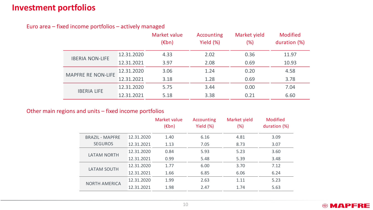### **Investment portfolios**

Euro area – fixed income portfolios – actively managed

|                           |            | Market value<br>$(\epsilon$ bn) | Accounting<br>Yield (%) | Market yield<br>(%) | <b>Modified</b><br>duration (%) |
|---------------------------|------------|---------------------------------|-------------------------|---------------------|---------------------------------|
| <b>IBERIA NON-LIFE</b>    | 12.31.2020 | 4.33                            | 2.02                    | 0.36                | 11.97                           |
|                           | 12.31.2021 | 3.97                            | 2.08                    | 0.69                | 10.93                           |
| <b>MAPFRE RE NON-LIFE</b> | 12.31.2020 | 3.06                            | 1.24                    | 0.20                | 4.58                            |
|                           | 12.31.2021 | 3.18                            | 1.28                    | 0.69                | 3.78                            |
| <b>IBERIA LIFE</b>        | 12.31.2020 | 5.75                            | 3.44                    | 0.00                | 7.04                            |
|                           | 12.31.2021 | 5.18                            | 3.38                    | 0.21                | 6.60                            |

#### Other main regions and units – fixed income portfolios

|                        |            | Market value<br>$(\epsilon$ bn) | Accounting<br>Yield $(\%)$ | Market yield<br>$(\%)$ | <b>Modified</b><br>duration (%) |
|------------------------|------------|---------------------------------|----------------------------|------------------------|---------------------------------|
| <b>BRAZIL - MAPFRE</b> | 12.31.2020 | 1.40                            | 6.16                       | 4.81                   | 3.09                            |
| <b>SEGUROS</b>         | 12.31.2021 | 1.13                            | 7.05                       | 8.73                   | 3.07                            |
| <b>LATAM NORTH</b>     | 12.31.2020 | 0.84                            | 5.93                       | 5.23                   | 3.60                            |
|                        | 12.31.2021 | 0.99                            | 5.48                       | 5.39                   | 3.48                            |
| <b>LATAM SOUTH</b>     | 12.31.2020 | 1.77                            | 6.00                       | 3.70                   | 7.12                            |
|                        | 12.31.2021 | 1.66                            | 6.85                       | 6.06                   | 6.24                            |
| <b>NORTH AMERICA</b>   | 12.31.2020 | 1.99                            | 2.63                       | 1.11                   | 5.23                            |
|                        | 12.31.2021 | 1.98                            | 2.47                       | 1.74                   | 5.63                            |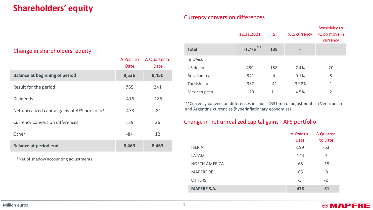### **Shareholders' equity**

#### Currency conversion differences

| Change in shareholders' equity                 |                          |                      |
|------------------------------------------------|--------------------------|----------------------|
|                                                | $\Delta$ Year to<br>Date | ∆ Quarter to<br>Date |
| <b>Balance at beginning of period</b>          | 8,536                    | 8,450                |
| Result for the period                          | 765                      | 241                  |
| <b>Dividends</b>                               | $-416$                   | $-185$               |
| Net unrealized capital gains of AFS portfolio* | -478                     | $-81$                |
| Currency conversion differences                | 139                      | 26                   |
| Other                                          | -84                      | 12                   |
| <b>Balance at period end</b>                   | 8,463                    | 8,463                |

\*Net of shadow accounting adjustments

|                | 12.31.2021  | Δ              | $%$ $\Delta$ currency        | Sensitivity to<br>+1 pp move in<br>currency |
|----------------|-------------|----------------|------------------------------|---------------------------------------------|
| <b>Total</b>   | $-1,776$ ** | 139            | $\qquad \qquad \blacksquare$ |                                             |
| of which:      |             |                |                              |                                             |
| US dollar      | 459         | 158            | 7.4%                         | 20                                          |
| Brazilian real | $-941$      | $\overline{4}$ | 0.1%                         | 8                                           |
| Turkish lira   | $-387$      | $-41$          | $-39.8%$                     | 1                                           |
| Mexican peso   | $-129$      | 11             | 4.5%                         | $\mathfrak{D}$                              |

\*\*Currency conversion differences include -€531 mn of adjustments in Venezuelan and Argentine currencies (hyperinflationary economies)

#### Change in net unrealized capital gains - AFS portfolio

|                      | $\Delta$ Year to | ∆ Quarter |
|----------------------|------------------|-----------|
|                      | Date             | to Date   |
| <b>IBERIA</b>        | $-199$           | $-63$     |
| LATAM                | $-144$           | 7         |
| <b>NORTH AMERICA</b> | $-65$            | $-15$     |
| <b>MAPFRE RE</b>     | $-65$            | -8        |
| <b>OTHERS</b>        | -5               | $-2$      |
| <b>MAPFRE S.A.</b>   | $-478$           | $-81$     |

#### Million euros 11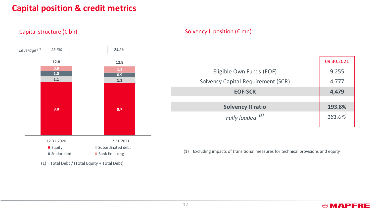### **Capital position & credit metrics**

Capital structure (€ bn)



(1) Total Debt / (Total Equity + Total Debt)

#### Solvency II position  $(\epsilon \text{mn})$

|                                    | 09.30.2021 |
|------------------------------------|------------|
| Eligible Own Funds (EOF)           | 9,255      |
| Solvency Capital Requirement (SCR) | 4,777      |
| <b>EOF-SCR</b>                     | 4,479      |
|                                    |            |
| <b>Solvency II ratio</b>           | 193.8%     |
| Fully loaded <sup>(1)</sup>        | 181.0%     |
|                                    |            |

(1) Excluding impacts of transitional measures for technical provisions and equity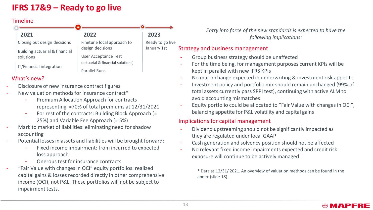### **IFRS 17&9 – Ready to go live**

#### **Timeline**

| 2021                           | 2022                              | 2023             |
|--------------------------------|-----------------------------------|------------------|
| Closing out design decisions   | Finetune local approach to        | Ready to go live |
| Building actuarial & financial | design decisions                  | January 1st      |
| solutions                      | User Acceptance Test              |                  |
|                                | (actuarial & financial solutions) |                  |
| IT/Financial integration       | <b>Parallel Runs</b>              |                  |

#### What's new?

- Disclosure of new insurance contract figures
- New valuation methods for insurance contract\*
	- Premium Allocation Approach for contracts representing ≈70% of total premiums at 12/31/2021
	- For rest of the contracts: Building Block Approach ( $\approx$ 25%) and Variable Fee Approach ( $\approx$  5%)
- Mark to market of liabilities: eliminating need for shadow accounting
- Potential losses in assets and liabilities will be brought forward:
	- Fixed income impairment: from incurred to expected loss approach
	- Onerous test for insurance contracts
- "Fair Value with changes in OCI" equity portfolios: realized capital gains & losses recorded directly in other comprehensive income (OCI), not P&L. These portfolios will not be subject to impairment tests.

*Entry into force of the new standards is expected to have the following implications:*

#### Strategy and business management

- Group business strategy should be unaffected
- For the time being, for management purposes current KPIs will be kept in parallel with new IFRS KPIs
- No major change expected in underwriting & investment risk appetite
- Investment policy and portfolio mix should remain unchanged (99% of total assets currently pass SPPI test), continuing with active ALM to avoid accounting mismatches
- Equity portfolio could be allocated to "Fair Value with changes in OCI", balancing appetite for P&L volatility and capital gains

#### Implications for capital management

- Dividend upstreaming should not be significantly impacted as they are regulated under local GAAP
- Cash generation and solvency position should not be affected
- No relevant fixed income impairments expected and credit risk exposure will continue to be actively managed

\* Data as 12/31/ 2021. An overview of valuation methods can be found in the annex (slide 18) .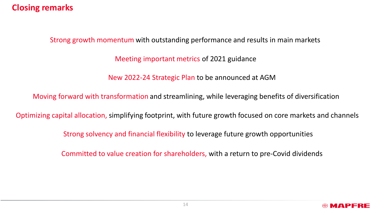### **Closing remarks**

Strong growth momentum with outstanding performance and results in main markets

Meeting important metrics of 2021 guidance

New 2022-24 Strategic Plan to be announced at AGM

Moving forward with transformation and streamlining, while leveraging benefits of diversification

Optimizing capital allocation, simplifying footprint, with future growth focused on core markets and channels

Strong solvency and financial flexibility to leverage future growth opportunities

Committed to value creation for shareholders, with a return to pre-Covid dividends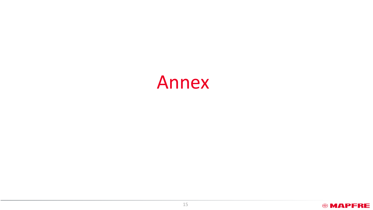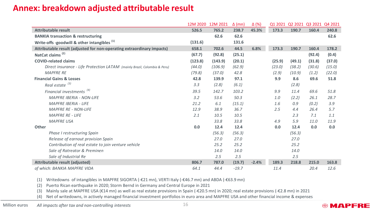### **Annex: breakdown adjusted attributable result**

|                                                                           | 12M 2020 | 12M 2021 | $\Delta$ (mn) | $\Delta$ (%) | Q1 2021 | 02 2021 03 2021 |        | Q4 2021 |
|---------------------------------------------------------------------------|----------|----------|---------------|--------------|---------|-----------------|--------|---------|
| <b>Attributable result</b>                                                | 526.5    | 765.2    | 238.7         | 45.3%        | 173.3   | 190.7           | 160.4  | 240.8   |
| <b>BANKIA transaction &amp; restructuring</b>                             |          | 62.6     | 62.6          |              |         |                 |        | 62.6    |
| Write-offs -goodwill & other intangibles <sup>(1)</sup>                   | (131.6)  |          | 131.6         |              |         |                 |        |         |
| Attributable result (adjusted for non-operating extraordinary impacts)    | 658.1    | 702.6    | 44.5          | 6.8%         | 173.3   | 190.7           | 160.4  | 178.2   |
| NatCat claims <sup>(2)</sup>                                              | (67.7)   | (92.8)   | (25.1)        |              |         |                 | (92.4) | (0.4)   |
| <b>COVID-related claims</b>                                               | (123.8)  | (143.9)  | (20.1)        |              | (25.9)  | (49.1)          | (31.8) | (37.0)  |
| Direct insurance - Life Protection LATAM (mainly Brazil, Colombia & Peru) | (44.0)   | (106.9)  | (62.9)        |              | (23.0)  | (38.2)          | (30.6) | (15.0)  |
| <b>MAPFRE RE</b>                                                          | (79.8)   | (37.0)   | 42.8          |              | (2.9)   | (10.9)          | (1.2)  | (22.0)  |
| <b>Financial Gains &amp; Losses</b>                                       | 42.8     | 139.9    | 97.1          |              | 9.9     | 8.6             | 69.6   | 51.8    |
| Real estate <sup>(3)</sup>                                                | 3.3      | (2.8)    | (6.1)         |              |         | (2.8)           |        |         |
| Financial investments <sup>(4)</sup>                                      | 39.5     | 142.7    | 103.2         |              | 9.9     | 11.4            | 69.6   | 51.8    |
| <b>MAPFRE IBERIA - NON-LIFE</b>                                           | 3.2      | 53.6     | 50.3          |              | 1.0     | (2.2)           | 26.1   | 28.7    |
| <b>MAPFRE IBERIA - LIFE</b>                                               | 21.2     | 6.1      | (15.1)        |              | 1.6     | 0.9             | (0.2)  | 3.9     |
| <b>MAPFRE RE - NON-LIFE</b>                                               | 12.9     | 38.9     | 36.7          |              | 2.5     | 4.4             | 26.4   | 5.7     |
| <b>MAPFRE RE - LIFE</b>                                                   | 2.1      | 10.5     | 10.5          |              |         | 2.3             | 7.1    | 1.1     |
| <b>MAPFRE USA</b>                                                         |          | 33.8     | 33.8          |              | 4.9     | 5.9             | 11.0   | 11.9    |
| Other                                                                     | 0.0      | 12.4     | 12.4          |              | 0.0     | 12.4            | 0.0    | 0.0     |
| Phase I restructuring Spain                                               |          | (56.3)   | (56.3)        |              |         | (56.3)          |        |         |
| Release of earnout provision Spain                                        |          | 27.0     | 27.0          |              |         | 27.0            |        |         |
| Contribution of real estate to join venture vehicle                       |          | 25.2     | 25.2          |              |         | 25.2            |        |         |
| Sale of Ratreator & Preminen                                              |          | 14.0     | 14.0          |              |         | 14.0            |        |         |
| Sale of Industrial Re                                                     |          | 2.5      | 2.5           |              |         | 2.5             |        |         |
| Attributable result (adjusted)                                            | 806.7    | 787.0    | (19.7)        | $-2.4%$      | 189.3   | 218.8           | 215.0  | 163.8   |
| of which: BANKIA MAPFRE VIDA                                              | 64.1     | 44.4     | $-19.7$       |              | 11.4    |                 | 20.4   | 12.6    |

(1) Writedowns of intangibles in MAPFRE SIGORTA (-€21 mn), VERTI Italy (-€46.7 mn) and ABDA (-€63.9 mn)

(2) Puerto Rican earthquake in 2020; Storm Bernd in Germany and Central Europe in 2021

(3) Mainly sale at MAPFRE USA (€14 mn) as well as real estate provisions in Spain (-€20.5 mn) in 2020; real estate provisions (-€2.8 mn) in 2021

(4) Net of writedowns, in actively managed financial investment portfolios in euro area and MAPFRE USA and other financial income & expenses

Million euros All impacts after tax and non-controlling interests **Allace 16** 16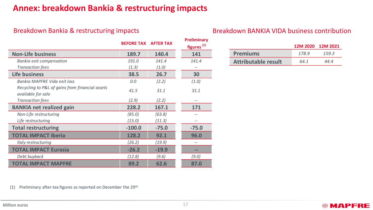### **Annex: breakdown Bankia & restructuring impacts**

|                                                                       | <b>BEFORE TAX</b> | <b>AFTER TAX</b> | <b>Preliminary</b><br>figures <sup>(1)</sup> |
|-----------------------------------------------------------------------|-------------------|------------------|----------------------------------------------|
| <b>Non-Life business</b>                                              | 189.7             | 140.4            | 141                                          |
| Bankia exit compensation                                              | 191.0             | 141.4            | 141.4                                        |
| <b>Transaction fees</b>                                               | (1.3)             | (1.0)            |                                              |
| <b>Life business</b>                                                  | 38.5              | 26.7             | 30                                           |
| Bankia MAPFRE Vida exit loss                                          | 0.0               | (2.2)            | (1.0)                                        |
| Recycling to P&L of gains from financial assets<br>available for sale | 41.5              | 31.1             | 31.1                                         |
| <b>Transaction fees</b>                                               | (2.9)             | (2.2)            |                                              |
| <b>BANKIA net realized gain</b>                                       | 228.2             | 167.1            | 171                                          |
| Non-Life restructuring                                                | (85.0)            | (63.8)           |                                              |
| Life restructuring                                                    | (15.0)            | (11.3)           |                                              |
| <b>Total restructuring</b>                                            | $-100.0$          | $-75.0$          | $-75.0$                                      |
| <b>TOTAL IMPACT Iberia</b>                                            | 128.2             | 92.1             | 96.0                                         |
| Italy restructuring                                                   | (26.2)            | (19.9)           |                                              |
| <b>TOTAL IMPACT Eurasia</b>                                           | $-26.2$           | $-19.9$          | --                                           |
| Debt buyback                                                          | (12.8)            | (9.6)            | (9.0)                                        |
| <b>TOTAL IMPACT MAPFRE</b>                                            | 89.2              | 62.6             | 87.0                                         |

### Breakdown Bankia & restructuring impacts Breakdown BANKIA VIDA business contribution

|                            |      | 12M 2020 12M 2021 |
|----------------------------|------|-------------------|
| <b>Premiums</b>            | 1789 | 159.3             |
| <b>Attributable result</b> | 64.1 | 44.4              |

**@MAPFRE** 

(1) Preliminary after-tax figures as reported on December the  $29<sup>th</sup>$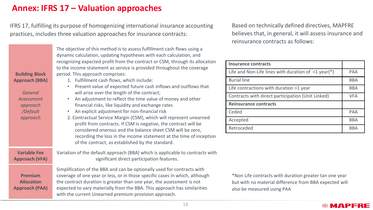### **Annex: IFRS 17 – Valuation approaches**

IFRS 17, fulfilling its purpose of homogenizing international insurance accounting practices, includes three valuation approaches for insurance contracts:

| <b>Building Block</b><br>Approach (BBA)<br>General<br>Assessment<br>approach<br>/Default<br>approach | The objective of this method is to assess fulfillment cash flows using a<br>dynamic calculation, updating hypotheses with each calculation, and<br>recognizing expected profit from the contract or CSM, through its allocation<br>to the income statement as service is provided throughout the coverage<br>period. This approach comprises:<br>1. Fulfillment cash flows, which include:<br>Present value of expected future cash inflows and outflows that<br>will arise over the length of the contract;<br>An adjustment to reflect the time value of money and other<br>financial risks, like liquidity and exchange rates<br>An explicit adjustment for non-financial risk<br>2. Contractual Service Margin (CSM), which will represent unearned<br>profit from contracts. If CSM is negative, the contract will be<br>considered onerous and the balance sheet CSM will be zero,<br>recording the loss in the income statement at the time of inception<br>of the contract, as established by the standard. | <b>Insura</b><br>Life ar<br><b>Burial</b><br>Life co<br>Contra<br><b>Reins</b><br>Cedec<br>Accep<br>Retro |
|------------------------------------------------------------------------------------------------------|---------------------------------------------------------------------------------------------------------------------------------------------------------------------------------------------------------------------------------------------------------------------------------------------------------------------------------------------------------------------------------------------------------------------------------------------------------------------------------------------------------------------------------------------------------------------------------------------------------------------------------------------------------------------------------------------------------------------------------------------------------------------------------------------------------------------------------------------------------------------------------------------------------------------------------------------------------------------------------------------------------------------|-----------------------------------------------------------------------------------------------------------|
| <b>Variable Fee</b><br><b>Approach (VFA)</b>                                                         | Variation of the default approach (BBA) which is applicable to contracts with<br>significant direct participation features.                                                                                                                                                                                                                                                                                                                                                                                                                                                                                                                                                                                                                                                                                                                                                                                                                                                                                         |                                                                                                           |
| <b>Premium</b><br><b>Allocation</b><br><b>Approach (PAA)</b>                                         | Simplification of the BBA and can be optionally used for contracts with<br>coverage of one year or less, or in those specific cases in which, although<br>the contract duration is greater than one year, the assessment is not<br>expected to vary materially from the BBA. This approach has similarities<br>with the current Unearned premium provision approach.                                                                                                                                                                                                                                                                                                                                                                                                                                                                                                                                                                                                                                                | *Noi<br>but \<br>also                                                                                     |

Based on technically defined directives, MAPFRE believes that, in general, it will assess insurance and reinsurance contracts as follows:

| <b>Insurance contracts</b>                                |            |
|-----------------------------------------------------------|------------|
| Life and Non-Life lines with duration of $\leq 1$ year(*) | <b>PAA</b> |
| <b>Burial line</b>                                        | <b>BBA</b> |
| Life contractions with duration >1 year                   | <b>BBA</b> |
| Contracts with direct participation (Unit Linked)         | <b>VFA</b> |
| <b>Reinsurance contracts</b>                              |            |
| Ceded                                                     | PAA        |
| Accepted                                                  | <b>BBA</b> |
| Retroceded                                                | <b>BBA</b> |

n Life contracts with duration greater tan one year with no material difference from BBA expected will be measured using PAA

#### **©MAPFRE**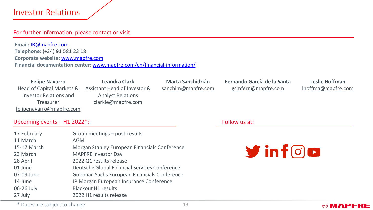### Investor Relations

#### For further information, please contact or visit:

**Email:** [IR@mapfre.com](mailto:IR@mapfre.com) **Telephone:** (+34) 91 581 23 18 **Corporate website:** [www.mapfre.com](https://www.mapfre.com/en/) **Financial documentation center:** [www.mapfre.com/en/financial-information/](http://www.mapfre.com/en/financial-information/)

**Felipe Navarro** Head of Capital Markets & Investor Relations and Treasurer [felipenavarro@mapfre.com](mailto:felipenavarro@mapfre.com)

**Leandra Clark** Assistant Head of Investor & Analyst Relations [clarkle@mapfre.com](mailto:clarkle@mapfre.com)

**Marta Sanchidrián** [sanchim@mapfre.com](mailto:sanchim@mapfre.com) **Fernando García de la Santa**  [gsmfern@mapfre.com](mailto:gsmfern@mapfre.com)

**Leslie Hoffman** [lhoffma@mapfre.com](mailto:lhoffma@mapfre.com)

**@MAPFRE** 

#### Upcoming events – H1 2022\*:

| 17 February | Group meetings - post-results                 |
|-------------|-----------------------------------------------|
| 11 March    | AGM                                           |
| 15-17 March | Morgan Stanley European Financials Conference |
| 23 March    | <b>MAPFRE Investor Day</b>                    |
| 28 April    | 2022 Q1 results release                       |
| 01 June     | Deutsche Global Financial Services Conference |
| 07-09 June  | Goldman Sachs European Financials Conference  |
| 14 June     | JP Morgan European Insurance Conference       |
| 06-26 July  | <b>Blackout H1 results</b>                    |
| 27 July     | 2022 H1 results release                       |

Follow us at:

 $y$  in  $f$   $\odot$   $o$ 

\* Dates are subject to change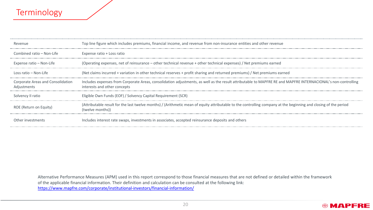### Terminology

| Revenue                                          | Top line figure which includes premiums, financial income, and revenue from non-insurance entities and other revenue                                                                          |
|--------------------------------------------------|-----------------------------------------------------------------------------------------------------------------------------------------------------------------------------------------------|
| Combined ratio - Non-Life                        | Expense ratio + Loss ratio                                                                                                                                                                    |
| Expense ratio – Non-Life                         | (Operating expenses, net of reinsurance – other technical revenue + other technical expenses) / Net premiums earned                                                                           |
| Loss ratio – Non-Life                            | (Net claims incurred + variation in other technical reserves + profit sharing and returned premiums) / Net premiums earned                                                                    |
| Corporate Areas and Consolidation<br>Adjustments | Includes expenses from Corporate Areas, consolidation adjustments, as well as the result attributable to MAPFRE RE and MAPFRE INTERNACIONAL's non-controlling<br>interests and other concepts |
| Solvency II ratio                                | Eligible Own Funds (EOF) / Solvency Capital Requirement (SCR)                                                                                                                                 |
| ROE (Return on Equity)                           | (Attributable result for the last twelve months) / (Arithmetic mean of equity attributable to the controlling company at the beginning and closing of the period<br>(twelve months))          |
| Other investments                                | Includes interest rate swaps, investments in associates, accepted reinsurance deposits and others                                                                                             |

Alternative Performance Measures (APM) used in this report correspond to those financial measures that are not defined or detailed within the framework of the applicable financial information. Their definition and calculation can be consulted at the following link: <https://www.mapfre.com/corporate/institutional-investors/financial-information/>